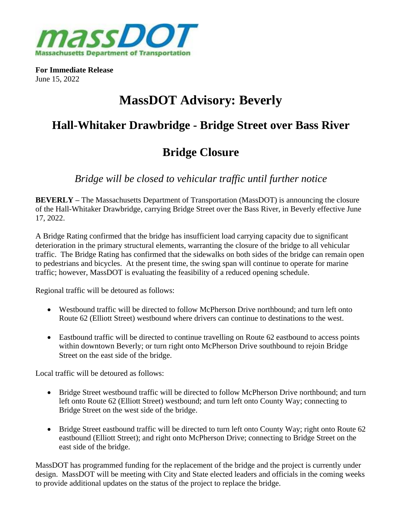

**For Immediate Release** June 15, 2022

# **MassDOT Advisory: Beverly**

### **Hall-Whitaker Drawbridge - Bridge Street over Bass River**

## **Bridge Closure**

*Bridge will be closed to vehicular traffic until further notice*

**BEVERLY –** The Massachusetts Department of Transportation (MassDOT) is announcing the closure of the Hall-Whitaker Drawbridge, carrying Bridge Street over the Bass River, in Beverly effective June 17, 2022.

A Bridge Rating confirmed that the bridge has insufficient load carrying capacity due to significant deterioration in the primary structural elements, warranting the closure of the bridge to all vehicular traffic. The Bridge Rating has confirmed that the sidewalks on both sides of the bridge can remain open to pedestrians and bicycles. At the present time, the swing span will continue to operate for marine traffic; however, MassDOT is evaluating the feasibility of a reduced opening schedule.

Regional traffic will be detoured as follows:

- Westbound traffic will be directed to follow McPherson Drive northbound; and turn left onto Route 62 (Elliott Street) westbound where drivers can continue to destinations to the west.
- Eastbound traffic will be directed to continue travelling on Route 62 eastbound to access points within downtown Beverly; or turn right onto McPherson Drive southbound to rejoin Bridge Street on the east side of the bridge.

Local traffic will be detoured as follows:

- Bridge Street westbound traffic will be directed to follow McPherson Drive northbound; and turn left onto Route 62 (Elliott Street) westbound; and turn left onto County Way; connecting to Bridge Street on the west side of the bridge.
- Bridge Street eastbound traffic will be directed to turn left onto County Way; right onto Route 62 eastbound (Elliott Street); and right onto McPherson Drive; connecting to Bridge Street on the east side of the bridge.

MassDOT has programmed funding for the replacement of the bridge and the project is currently under design. MassDOT will be meeting with City and State elected leaders and officials in the coming weeks to provide additional updates on the status of the project to replace the bridge.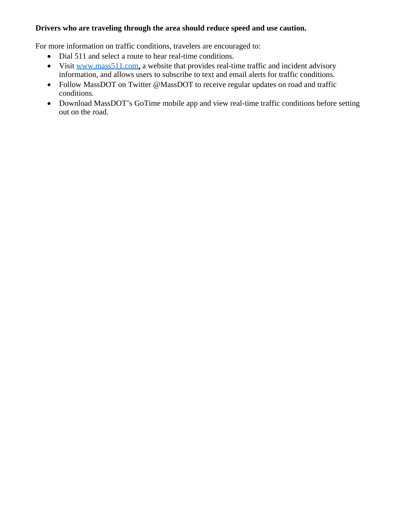#### **Drivers who are traveling through the area should reduce speed and use caution.**

For more information on traffic conditions, travelers are encouraged to:

- Dial 511 and select a route to hear real-time conditions.
- Visit [www.mass511.com,](http://www.mass511.com) a website that provides real-time traffic and incident advisory information, and allows users to subscribe to text and email alerts for traffic conditions.
- Follow MassDOT on Twitter @MassDOT to receive regular updates on road and traffic conditions.
- Download MassDOT's GoTime mobile app and view real-time traffic conditions before setting out on the road.